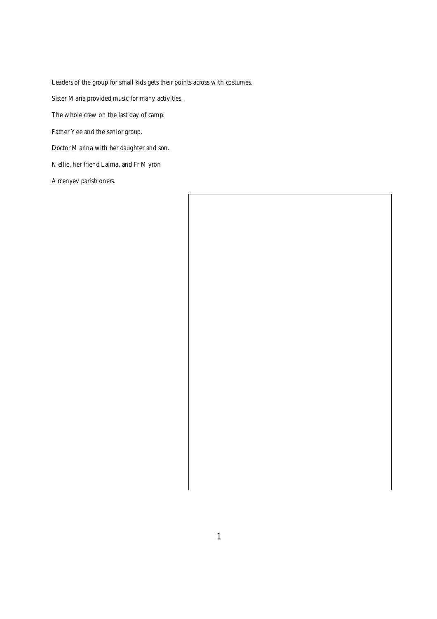*Leaders of the group for small kids gets their points across with costumes. Sister Maria provided music for many activities. The whole crew on the last day of camp. Father Yee and the senior group. Doctor Marina with her daughter and son. Nellie, her friend Laima, and Fr Myron* 

*Arcenyev parishioners.*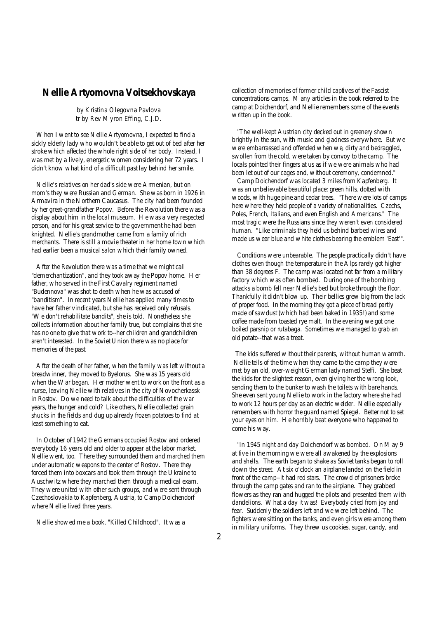## **Nellie Artyomovna Voitsekhovskaya**

*by Kristina Olegovna Pavlova tr by Rev Myron Effing, C.J.D.*

When I went to see Nellie Artyomovna, I expected to find a sickly elderly lady who wouldn't be able to get out of bed after her stroke which affected the whole right side of her body. Instead, I was met by a lively, energetic women considering her 72 years. I didn't know what kind of a difficult past lay behind her smile.

Nellie's relatives on her dad's side were Armenian, but on mom's they were Russian and German. She was born in 1926 in Armavira in the Northern Caucasus. The city had been founded by her great-grandfather Popov. Before the Revolution there was a display about him in the local museum. He was a very respected person, and for his great service to the government he had been knighted. Nellie's grandmother came from a family of rich merchants. There is still a movie theater in her home town which had earlier been a musical salon which their family owned.

After the Revolution there was a time that we might call "demerchantization", and they took away the Popov home. Her father, who served in the First Cavalry regiment named "Budennova" was shot to death when he was accused of "banditism". In recent years Nellie has applied many times to have her father vindicated, but she has received only refusals. "We don't rehabilitate bandits", she is told. Nonetheless she collects information about her family true, but complains that she has no one to give that work to--her children and grandchildren aren't interested. In the Soviet Union there was no place for memories of the past.

After the death of her father, when the family was left without a breadwinner, they moved to Byelorus. She was 15 years old when the War began. Her mother went to work on the front as a nurse, leaving Nellie with relatives in the city of Novocherkassk in Rostov. Do we need to talk about the difficulties of the war years, the hunger and cold? Like others, Nellie collected grain shucks in the fields and dug up already frozen potatoes to find at least something to eat.

In October of 1942 the Germans occupied Rostov and ordered everybody 16 years old and older to appear at the labor market. Nellie went, too. There they surrounded them and marched them under automatic weapons to the center of Rostov. There they forced them into boxcars and took them through the Ukraine to Auschwitz where they marched them through a medical exam. They were united with other such groups, and were sent through Czechoslovakia to Kapfenberg, Austria, to Camp Doichendorf where Nellie lived three years.

Nellie showed me a book, "Killed Childhood". It was a

collection of memories of former child captives of the Fascist concentrations camps. Many articles in the book referred to the camp at Doichendorf, and Nellie remembers some of the events written up in the book.

 "The well-kept Austrian city decked out in greenery shown brightly in the sun, with music and gladness everywhere. But we were embarrassed and offended when we, dirty and bedraggled, swollen from the cold, were taken by convoy to the camp. The locals pointed their fingers at us as if we were animals who had been let out of our cages and, without ceremony, condemned."

 Camp Doichendorf was located 3 miles from Kapfenberg. It was an unbelievable beautiful place: green hills, dotted with woods, with huge pine and cedar trees. "There were lots of camps here where they held people of a variety of nationalities. Czechs, Poles, French, Italians, and even English and Americans." The most tragic were the Russians since they weren't even considered human. "Like criminals they held us behind barbed wires and made us wear blue and white clothes bearing the emblem 'East'".

 Conditions were unbearable. The people practically didn't have clothes even though the temperature in the Alps rarely got higher than 38 degrees F. The camp was located not far from a military factory which was often bombed. During one of the bombing attacks a bomb fell near Nellie's bed but broke through the floor. Thankfully it didn't blow up. Their bellies grew big from the lack of proper food. In the morning they got a piece of bread partly made of sawdust (which had been baked in 1935!) and some coffee made from toasted rye malt. In the evening we got one boiled parsnip or rutabaga. Sometimes we managed to grab an old potato--that was a treat.

 The kids suffered without their parents, without human warmth. Nellie tells of the time when they came to the camp they were met by an old, over-weight German lady named Steffi. She beat the kids for the slightest reason, even giving her the wrong look, sending them to the bunker to wash the toilets with bare hands. She even sent young Nellie to work in the factory where she had to work 12 hours per day as an electric welder. Nellie especially remembers with horror the guard named Spiegel. Better not to set your eyes on him. He horribly beat everyone who happened to come his way.

 "In 1945 night and day Doichendorf was bombed. On May 9 at five in the morning we were all awakened by the explosions and shells. The earth began to shake as Soviet tanks began to roll down the street. At six o'clock an airplane landed on the field in front of the camp--it had red stars. The crowd of prisoners broke through the camp gates and ran to the airplane. They grabbed flowers as they ran and hugged the pilots and presented them with dandelions. What a day it was! Everybody cried from joy and fear. Suddenly the soldiers left and we were left behind. The fighters were sitting on the tanks, and even girls were among them in military uniforms. They threw us cookies, sugar, candy, and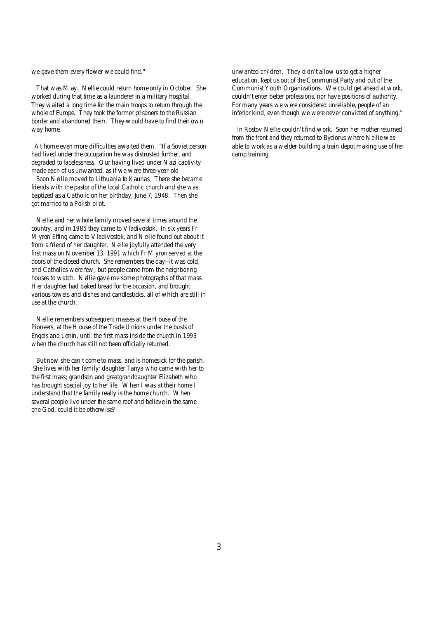we gave them every flower we could find."

That was May. Nellie could return home only in October. She worked during that time as a launderer in a military hospital. They waited a long time for the main troops to return through the whole of Europe. They took the former prisoners to the Russian border and abandoned them. They would have to find their own way home.

At home even more difficulties awaited them. "If a Soviet person had lived under the occupation he was distrusted further, and degraded to facelessness. Our having lived under Nazi captivity made each of us unwanted, as if we were three-year-old

Soon Nellie moved to Lithuania to Kaunas. There she became friends with the pastor of the local Catholic church and she was baptized as a Catholic on her birthday, June 7, 1948. Then she got married to a Polish pilot.

Nellie and her whole family moved several times around the country, and in 1985 they came to Vladivostok. In six years Fr Myron Effing came to Vladivostok, and Nellie found out about it from a friend of her daughter. Nellie joyfully attended the very first mass on November 13, 1991 which Fr Myron served at the doors of the closed church. She remembers the day--it was cold, and Catholics were few, but people came from the neighboring houses to watch. Nellie gave me some photographs of that mass. Her daughter had baked bread for the occasion, and brought various towels and dishes and candlesticks, all of which are still in use at the church.

Nellie remembers subsequent masses at the House of the Pioneers, at the House of the Trade Unions under the busts of Engels and Lenin, until the first mass inside the church in 1993 when the church has still not been officially returned.

But now she can't come to mass, and is homesick for the parish. She lives with her family: daughter Tanya who came with her to the first mass; grandson and greatgranddaughter Elizabeth who has brought special joy to her life. When I was at their home I understand that the family really is the home church. When several people live under the same roof and believe in the same one God, could it be otherwise?

unwanted children. They didn't allow us to get a higher education, kept us out of the Communist Party and out of the Communist Youth Organizations. We could get ahead at work, couldn't enter better professions, nor have positions of authority. For many years we were considered unreliable, people of an inferior kind, even though we were never convicted of anything."

 In Rostov Nellie couldn't find work. Soon her mother returned from the front and they returned to Byelorus where Nellie was able to work as a welder building a train depot making use of her camp training.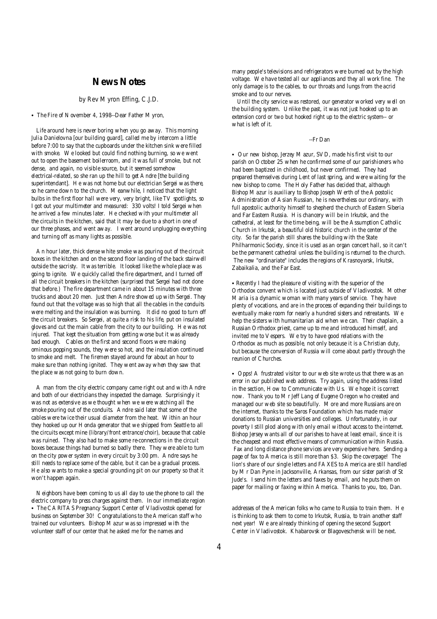### **News Notes**

#### *by Rev Myron Effing, C.J.D.*

• The Fire of November 4, 1998--Dear Father Myron,

Life around here is never boring when you go away. This morning Julia Danielovna [our building guard], called me by intercom a little before 7:00 to say that the cupboards under the kitchen sink were filled with smoke. We looked but could find nothing burning, so we went out to open the basement boilerroom, and it was full of smoke, but not dense, and again, no visible source, but it seemed somehow electrical-related, so she ran up the hill to get Andre [the building superintendant]. He was not home but our electrician Sergei was there, so he came down to the church. Meanwhile, I noticed that the light bulbs in the first floor hall were very, very bright, like TV spotlights, so I got out your multimeter and measured: 330 volts! I told Sergei when he arrived a few minutes later. He checked with your multimeter all the circuits in the kitchen, said that it may be due to a short in one of our three phases, and went away. I went around unplugging everything and turning off as many lights as possible.

An hour later, thick dense white smoke was pouring out of the circuit boxes in the kitchen and on the second floor landing of the back stairwell outside the sacristy. It was terrible. It looked like the whole place was going to ignite. We quickly called the fire department, and I turned off all the circuit breakers in the kitchen (surprised that Sergei had not done that before.) The fire department came in about 15 minutes with three trucks and about 20 men. Just then Andre showed up with Sergei. They found out that the voltage was so high that all the cables in the conduits were melting and the insulation was burning. It did no good to turn off the circuit breakers. So Sergei, at quite a risk to his life, put on insulated gloves and cut the main cable from the city to our building. He was not injured. That kept the situation from getting worse but it was already bad enough. Cables on the first and second floors were making ominous popping sounds, they were so hot, and the insulation continued to smoke and melt. The firemen stayed around for about an hour to make sure than nothing ignited. They went away when they saw that the place was not going to burn down.

A man from the city electric company came right out and with Andre and both of our electricians they inspected the damage. Surprisingly it was not as extensive as we thought when we were watching all the smoke pouring out of the conduits. Andre said later that some of the cables were twice their usual diameter from the heat. Within an hour they hooked up our Honda generator that we shipped from Seattle to all the circuits except mine (library/front entrance/choir), because that cable was ruined. They also had to make some re-connections in the circuit boxes because things had burned so badly there. They were able to turn on the city power system in every circuit by 3:00 pm. Andre says he still needs to replace some of the cable, but it can be a gradual process. He also wants to make a special grounding pit on our property so that it won't happen again.

Neighbors have been coming to us all day to use the phone to call the electric company to press charges against them. In our immediate region • The CARITAS Pregnancy Support Center of Vladivostok opened for business on September 30! Congratulations to the American staff who trained our volunteers. Bishop Mazur was so impressed with the volunteer staff of our center that he asked me for the names and

many people's televisions and refrigerators were burned out by the high voltage. We have tested all our appliances and they all work fine. The only damage is to the cables, to our throats and lungs from the acrid smoke and to our nerves.

 Until the city service was restored, our generator worked very well on the building system. Unlike the past, it was not just hooked up to an extension cord or two but hooked right up to the electric system-- or what is left of it.

#### --Fr Dan

• Our new bishop, Jerzey Mazur, SVD, made his first visit to our parish on October 25 when he confirmed some of our parishioners who had been baptized in childhood, but never confirmed. They had prepared themselves during Lent of last spring, and were waiting for the new bishop to come. The Holy Father has decided that, although Bishop Mazur is auxiliary to Bishop Joseph Werth of the Apostolic Administration of Asian Russian, he is nevertheles our ordinary, with full apostolic authority himself to shepherd the church of Eastern Siberia and Far Eastern Russia. His chancery will be in Irkutsk, and the cathedral, at least for the time being, will be the Assumption Catholic Church in Irkutsk, a beautiful old historic church in the center of the city. So far the parish still shares the building with the State Philharmonic Society, since it is used as an organ concert hall, so it can't be the permanent cathedral unless the building is returned to the church. The new "ordinariate" includes the regions of Krasnoyarsk, Irkutsk, Zabaikalia, and the Far East.

• Recently I had the pleasure of visiting with the superior of the Orthodox convent which is located just outside of Vladivostok. Mother Maria is a dynamic woman with many years of service. They have plenty of vocations, and are in the proces of expanding their buildings to eventually make room for nearly a hundred sisters and retreatants. We help the sisters with humanitarian aid when we can. Their chaplain, a Russian Orthodox priest, came up to me and introduced himself, and invited me to Vespers. We try to have good relations with the Orthodox as much as possible, not only because it is a Christian duty, but because the conversion of Russia will come about partly through the reunion of Churches.

• Opps! A frustrated visitor to our web site wrote us that there was an error in our published web address. Try again, using the address listed in the section, How to Communicate with Us. We hope it is correct now. Thank you to Mr Jeff Lang of Eugene Oregon who created and managed our web site so beautifully. More and more Russians are on the internet, thanks to the Saros Foundation which has made major donations to Russian universities and colleges. Unfortunately, in our poverty I still plod along with only email without access to the internet. Bishop Jersey wants all of our parishes to have at least email, since it is the cheapest and most effective means of communication within Russia. Fax and long distance phone services are very expensive here. Sending a page of fax to America is still more than \$3. Skip the coverpage! The lion's share of our single letters and FAXES to America are still handled by Mr Dan Pyne in Jacksonville, Arkansas, from our sister parish of St Jude's. I send him the letters and faxes by email, and he puts them on paper for mailing or faxing within America. Thanks to you, too, Dan.

addresses of the American folks who came to Russia to train them. He is thinking to ask them to come to Irkutsk, Russia, to train another staff next year! We are already thinking of opening the second Support Center in Vladivostok. Khabarovsk or Blagoveschensk will be next.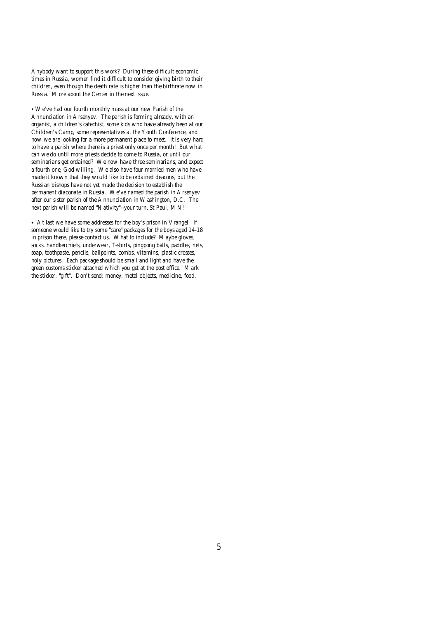Anybody want to support this work? During these difficult economic times in Russia, women find it difficult to consider giving birth to their children, even though the death rate is higher than the birthrate now in Russia. More about the Center in the next issue.

• We've had our fourth monthly mass at our new Parish of the Annunciation in Arsenyev. The parish is forming already, with an organist, a children's catechist, some kids who have already been at our Children's Camp, some representatives at the Youth Conference, and now we are looking for a more permanent place to meet. It is very hard to have a parish where there is a priest only once per month! But what can we do until more priests decide to come to Russia, or until our seminarians get ordained? We now have three seminarians, and expect a fourth one, God willing. We also have four married men who have made it known that they would like to be ordained deacons, but the Russian bishops have not yet made the decision to establish the permanent diaconate in Russia. We've named the parish in Arsenyev after our sister parish of the Annunciation in Washington, D.C. The next parish will be named "Nativity"--your turn, St Paul, MN!

• At last we have some addresses for the boy's prison in Vrangel. If someone would like to try some "care" packages for the boys aged 14-18 in prison there, please contact us. What to include? Maybe gloves, socks, handkerchiefs, underwear, T-shirts, pingpong balls, paddles, nets, soap, toothpaste, pencils, ballpoints, combs, vitamins, plastic crosses, holy pictures. Each package should be small and light and have the green customs sticker attached which you get at the post office. Mark the sticker, "gift". Don't send: money, metal objects, medicine, food.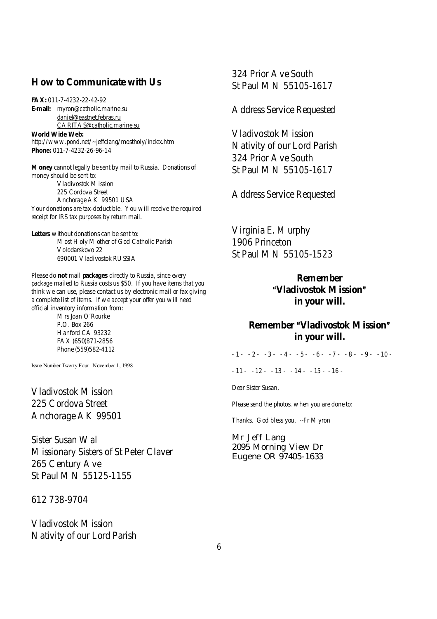# **How to Communicate with Us**

**FAX:** 011-7-4232-22-42-92

**E-mail:** [myron@catholic.marine.su](mailto:myron@catholic.marine.su) [daniel@eastnet.febras.ru](mailto:daniel@eastnet.febras.ru) [CARITAS@catholic.marine.su](mailto:CARITAS@catholic.marine.su) **World Wide Web:** <http://www.pond.net/~jeffclang/mostholy/index.htm> **Phone:** 011-7-4232-26-96-14

**Money** cannot legally be sent by mail to Russia. Donations of money should be sent to: Vladivostok Mission 225 Cordova Street Anchorage AK 99501 USA Your donations are tax-deductible. You will receive the required receipt for IRS tax purposes by return mail.

**Letters** without donations can be sent to: Most Holy Mother of God Catholic Parish Volodarskovo 22 690001 Vladivostok RUSSIA

Please do **not** mail **packages** directly to Russia, since every package mailed to Russia costs us \$50. If you have items that you think we can use, please contact us by electronic mail or fax giving a complete list of items. If we accept your offer you will need official inventory information from:

> Mrs Joan O'Rourke P.O. Box 266 Hanford CA 93232 FAX (650)871-2856 Phone (559)582-4112

Issue Number Twenty Four November 1, 1998

Vladivostok Mission 225 Cordova Street Anchorage AK 99501

Sister Susan Wal Missionary Sisters of St Peter Claver 265 Century Ave St Paul MN 55125-1155

612 738-9704

Vladivostok Mission Nativity of our Lord Parish 324 Prior Ave South St Paul MN 55105-1617

Address Service Requested

Vladivostok Mission Nativity of our Lord Parish 324 Prior Ave South St Paul MN 55105-1617

Address Service Requested

Virginia E. Murphy 1906 Princeton St Paul MN 55105-1523

> **Remember AVladivostok Mission@ in your will.**

# **Remember "Vladivostok Mission" in your will.**

 $-1 - 2 - 3 - 4 - 5 - 6 - 7 - 8 - 9 - 10 -$ 

 $-11 - 12 - 13 - 13 - 14 - 15 - 16 -$ 

Dear Sister Susan,

Please send the photos, when you are done to:

Thanks. God bless you. --Fr Myron

Mr Jeff Lang 2095 Morning View Dr Eugene OR 97405-1633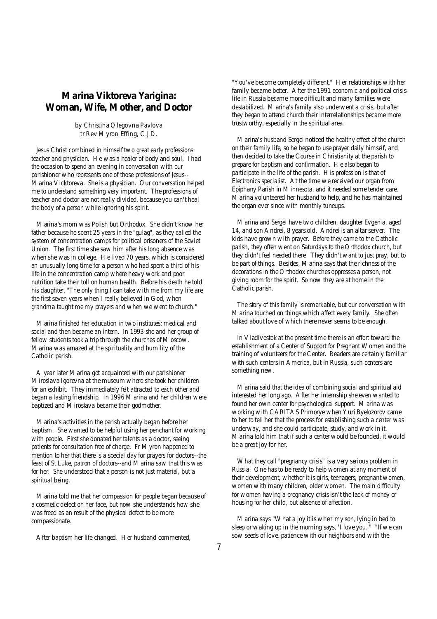# **Marina Viktoreva Yarigina: Woman, Wife, Mother, and Doctor**

### *by Christina Olegovna Pavlova tr Rev Myron Effing, C.J.D.*

Jesus Christ combined in himself two great early professions: teacher and physician. He was a healer of body and soul. I had the occasion to spend an evening in conversation with our parishioner who represents one of those professions of Jesus-- Marina Vicktoreva. She is a physician. Our conversation helped me to understand something very important. The professions of teacher and doctor are not really divided, because you can't heal the body of a person while ignoring his spirit.

Marina's mom was Polish but Orthodox. She didn't know her father because he spent 25 years in the "gulag", as they called the system of concentration camps for political prisoners of the Soviet Union. The first time she saw him after his long absence was when she was in college. He lived 70 years, which is considered an unusually long time for a person who had spent a third of his life in the concentration camp where heavy work and poor nutrition take their toll on human health. Before his death he told his daughter, "The only thing I can take with me from my life are the first seven years when I really believed in God, when grandma taught me my prayers and when we went to church."

Marina finished her education in two institutes: medical and social and then became an intern. In 1993 she and her group of fellow students took a trip through the churches of Moscow. Marina was amazed at the spirituality and humility of the Catholic parish.

A year later Marina got acquainted with our parishioner Miroslava Igorevna at the museum where she took her children for an exhibit. They immediately felt attracted to each other and began a lasting friendship. In 1996 Marina and her children were baptized and Miroslava became their godmother.

Marina's activities in the parish actually began before her baptism. She wanted to be helpful using her penchant for working with people. First she donated her talents as a doctor, seeing patients for consultation free of charge. Fr Myron happened to mention to her that there is a special day for prayers for doctors--the feast of St Luke, patron of doctors--and Marina saw that this was for her. She understood that a person is not just material, but a spiritual being.

Marina told me that her compassion for people began because of a cosmetic defect on her face, but now she understands how she was freed as an result of the physical defect to be more compassionate.

After baptism her life changed. Her husband commented,

"You've become completely different." Her relationships with her family became better. After the 1991 economic and political crisis life in Russia became more difficult and many families were destabilized. Marina's family also underwent a crisis, but after they began to attend church their interrelationships became more trustworthy, especially in the spiritual area.

 Marina's husband Sergei noticed the healthy effect of the church on their family life, so he began to use prayer daily himself, and then decided to take the Course in Christianity at the parish to prepare for baptism and confirmation. He also began to participate in the life of the parish. His profession is that of Electronics specialist. At the time we received our organ from Epiphany Parish in Minnesota, and it needed some tender care. Marina volunteered her husband to help, and he has maintained the organ ever since with monthly tuneups.

 Marina and Sergei have two children, daughter Evgenia, aged 14, and son Andrei, 8 years old. Andrei is an altar server. The kids have grown with prayer. Before they came to the Catholic parish, they often went on Saturdays to the Orthodox church, but they didn't feel needed there. They didn't want to just pray, but to be part of things. Besides, Marina says that the richness of the decorations in the Orthodox churches oppresses a person, not giving room for the spirit. So now they are at home in the Catholic parish.

 The story of this family is remarkable, but our conversation with Marina touched on things which affect every family. She often talked about love of which there never seems to be enough.

 In Vladivostok at the present time there is an effort toward the establishment of a Center of Support for Pregnant Women and the training of volunteers for the Center. Readers are certainly familiar with such centers in America, but in Russia, such centers are something new.

 Marina said that the idea of combining social and spiritual aid interested her long ago. After her internship she even wanted to found her own center for psychological support. Marina was working with CARITAS Primorye when Yuri Byelozorov came to her to tell her that the process for establishing such a center was underway, and she could participate, study, and work in it. Marina told him that if such a center would be founded, it would be a great joy for her.

 What they call "pregnancy crisis" is a very serious problem in Russia. One has to be ready to help women at any moment of their development, whether it is girls, teenagers, pregnant women, women with many children, older women. The main difficulty for women having a pregnancy crisis isn't the lack of money or housing for her child, but absence of affection.

 Marina says "What a joy it is when my son, lying in bed to sleep or waking up in the morning says, 'I love you.'" "If we can sow seeds of love, patience with our neighbors and with the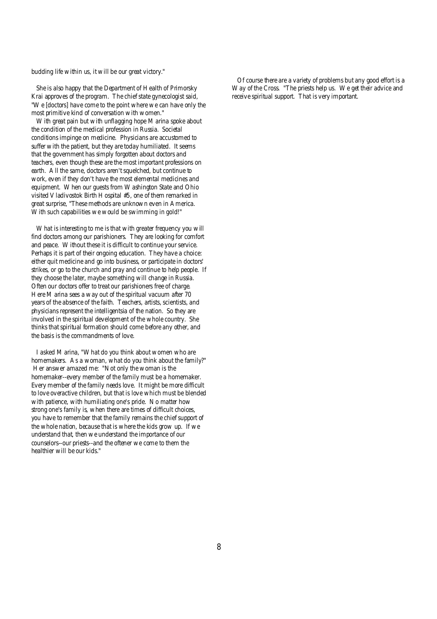budding life within us, it will be our great victory."

She is also happy that the Department of Health of Primorsky Krai approves of the program. The chief state gynecologist said, "We [doctors] have come to the point where we can have only the most primitive kind of conversation with women."

With great pain but with unflagging hope Marina spoke about the condition of the medical profession in Russia. Societal conditions impinge on medicine. Physicians are accustomed to suffer with the patient, but they are today humiliated. It seems that the government has simply forgotten about doctors and teachers, even though these are the most important professions on earth. All the same, doctors aren't squelched, but continue to work, even if they don't have the most elemental medicines and equipment. When our guests from Washington State and Ohio visited Vladivostok Birth Hospital #5, one of them remarked in great surprise, "These methods are unknown even in America. With such capabilities we would be swimming in gold!"

What is interesting to me is that with greater frequency you will find doctors among our parishioners. They are looking for comfort and peace. Without these it is difficult to continue your service. Perhaps it is part of their ongoing education. They have a choice: either quit medicine and go into business, or participate in doctors' strikes, or go to the church and pray and continue to help people. If they choose the later, maybe something will change in Russia. Often our doctors offer to treat our parishioners free of charge. Here Marina sees a way out of the spiritual vacuum after 70 years of the absence of the faith. Teachers, artists, scientists, and physicians represent the intelligentsia of the nation. So they are involved in the spiritual development of the whole country. She thinks that spiritual formation should come before any other, and the basis is the commandments of love.

I asked Marina, "What do you think about women who are homemakers. As a woman, what do you think about the family?" Her answer amazed me: "Not only the woman is the homemaker--every member of the family must be a homemaker. Every member of the family needs love. It might be more difficult to love overactive children, but that is love which must be blended with patience, with humiliating one's pride. No matter how strong one's family is, when there are times of difficult choices, you have to remember that the family remains the chief support of the whole nation, because that is where the kids grow up. If we understand that, then we understand the importance of our counselors--our priests--and the oftener we come to them the healthier will be our kids."

 Of course there are a variety of problems but any good effort is a Way of the Cross. "The priests help us. We get their advice and receive spiritual support. That is very important.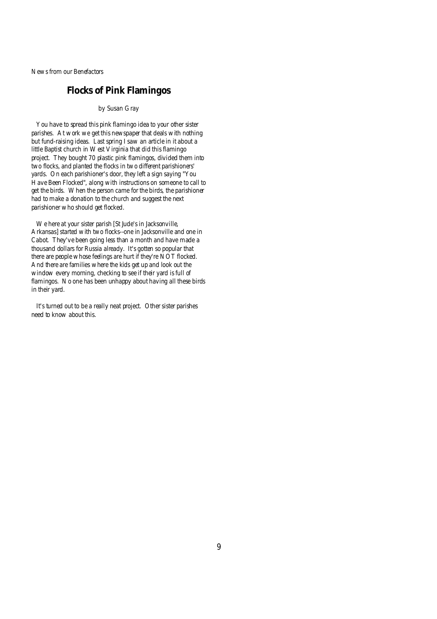News from our Benefactors

# **Flocks of Pink Flamingos**

### *by Susan Gray*

You have to spread this pink flamingo idea to your other sister parishes. At work we get this newspaper that deals with nothing but fund-raising ideas. Last spring I saw an article in it about a little Baptist church in West Virginia that did this flamingo project. They bought 70 plastic pink flamingos, divided them into two flocks, and planted the flocks in two different parishioners' yards. On each parishioner's door, they left a sign saying "You Have Been Flocked", along with instructions on someone to call to get the birds. When the person came for the birds, the parishioner had to make a donation to the church and suggest the next parishioner who should get flocked.

We here at your sister parish [St Jude's in Jacksonville, Arkansas] started with two flocks--one in Jacksonville and one in Cabot. They've been going less than a month and have made a thousand dollars for Russia already. It's gotten so popular that there are people whose feelings are hurt if they're NOT flocked. And there are families where the kids get up and look out the window every morning, checking to see if their yard is full of flamingos. No one has been unhappy about having all these birds in their yard.

It's turned out to be a really neat project. Other sister parishes need to know about this.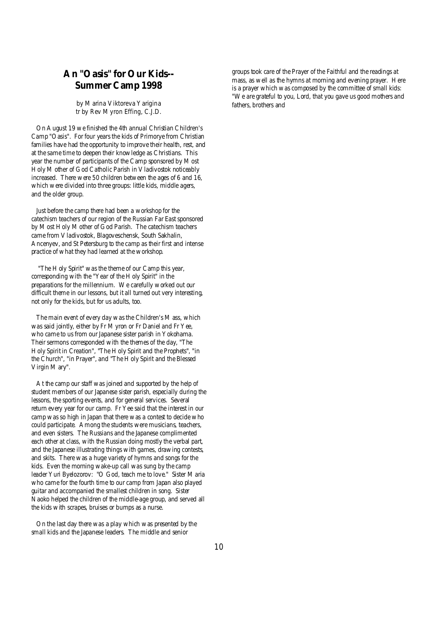# **An "Oasis" for Our Kids-- Summer Camp 1998**

### *by Marina Viktoreva Yarigina tr by Rev Myron Effing, C.J.D.*

On August 19 we finished the 4th annual Christian Children's Camp "Oasis". For four years the kids of Primorye from Christian families have had the opportunity to improve their health, rest, and at the same time to deepen their knowledge as Christians. This year the number of participants of the Camp sponsored by Most Holy Mother of God Catholic Parish in Vladivostok noticeably increased. There were 50 children between the ages of 6 and 16, which were divided into three groups: little kids, middle agers, and the older group.

Just before the camp there had been a workshop for the catechism teachers of our region of the Russian Far East sponsored by Most Holy Mother of God Parish. The catechism teachers came from Vladivostok, Blagoveschensk, South Sakhalin, Ancenyev, and St Petersburg to the camp as their first and intense practice of what they had learned at the workshop.

 "The Holy Spirit" was the theme of our Camp this year, corresponding with the "Year of the Holy Spirit" in the preparations for the millennium. We carefully worked out our difficult theme in our lessons, but it all turned out very interesting, not only for the kids, but for us adults, too.

The main event of every day was the Children's Mass, which was said jointly, either by Fr Myron or Fr Daniel and Fr Yee, who came to us from our Japanese sister parish in Yokohama. Their sermons corresponded with the themes of the day, "The Holy Spirit in Creation", "The Holy Spirit and the Prophets", "in the Church", "in Prayer", and "The Holy Spirit and the Blessed Virgin Mary".

At the camp our staff was joined and supported by the help of student members of our Japanese sister parish, especially during the lessons, the sporting events, and for general services. Several return every year for our camp. Fr Yee said that the interest in our camp was so high in Japan that there was a contest to decide who could participate. Among the students were musicians, teachers, and even sisters. The Russians and the Japanese complimented each other at class, with the Russian doing mostly the verbal part, and the Japanese illustrating things with games, drawing contests, and skits. There was a huge variety of hymns and songs for the kids. Even the morning wake-up call was sung by the camp leader Yuri Byelozorov: "O God, teach me to love." Sister Maria who came for the fourth time to our camp from Japan also played guitar and accompanied the smallest children in song. Sister Naoko helped the children of the middle-age group, and served all the kids with scrapes, bruises or bumps as a nurse.

On the last day there was a play which was presented by the small kids and the Japanese leaders. The middle and senior

groups took care of the Prayer of the Faithful and the readings at mass, as well as the hymns at morning and evening prayer. Here is a prayer which was composed by the committee of small kids: "We are grateful to you, Lord, that you gave us good mothers and fathers, brothers and